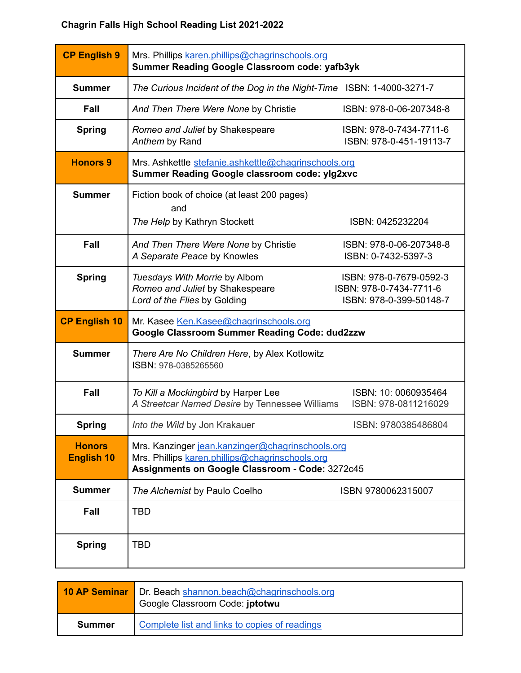## **Chagrin Falls High School Reading List 2021-2022**

| <b>CP English 9</b>                | Mrs. Phillips karen.phillips@chagrinschools.org<br>Summer Reading Google Classroom code: yafb3yk                                                       |                                                                               |
|------------------------------------|--------------------------------------------------------------------------------------------------------------------------------------------------------|-------------------------------------------------------------------------------|
| <b>Summer</b>                      | The Curious Incident of the Dog in the Night-Time ISBN: 1-4000-3271-7                                                                                  |                                                                               |
| Fall                               | And Then There Were None by Christie                                                                                                                   | ISBN: 978-0-06-207348-8                                                       |
| <b>Spring</b>                      | Romeo and Juliet by Shakespeare<br>Anthem by Rand                                                                                                      | ISBN: 978-0-7434-7711-6<br>ISBN: 978-0-451-19113-7                            |
| <b>Honors 9</b>                    | Mrs. Ashkettle stefanie.ashkettle@chagrinschools.org<br><b>Summer Reading Google classroom code: ylg2xvc</b>                                           |                                                                               |
| <b>Summer</b>                      | Fiction book of choice (at least 200 pages)<br>and<br>The Help by Kathryn Stockett                                                                     | ISBN: 0425232204                                                              |
| Fall                               | And Then There Were None by Christie<br>A Separate Peace by Knowles                                                                                    | ISBN: 978-0-06-207348-8<br>ISBN: 0-7432-5397-3                                |
| <b>Spring</b>                      | Tuesdays With Morrie by Albom<br>Romeo and Juliet by Shakespeare<br>Lord of the Flies by Golding                                                       | ISBN: 978-0-7679-0592-3<br>ISBN: 978-0-7434-7711-6<br>ISBN: 978-0-399-50148-7 |
| <b>CP English 10</b>               | Mr. Kasee Ken.Kasee@chagrinschools.org<br><b>Google Classroom Summer Reading Code: dud2zzw</b>                                                         |                                                                               |
| <b>Summer</b>                      | There Are No Children Here, by Alex Kotlowitz<br>ISBN: 978-0385265560                                                                                  |                                                                               |
| Fall                               | To Kill a Mockingbird by Harper Lee<br>A Streetcar Named Desire by Tennessee Williams                                                                  | ISBN: 10: 0060935464<br>ISBN: 978-0811216029                                  |
| <b>Spring</b>                      | Into the Wild by Jon Krakauer                                                                                                                          | ISBN: 9780385486804                                                           |
| <b>Honors</b><br><b>English 10</b> | Mrs. Kanzinger jean.kanzinger@chagrinschools.org<br>Mrs. Phillips karen.phillips@chagrinschools.org<br>Assignments on Google Classroom - Code: 3272c45 |                                                                               |
| <b>Summer</b>                      | The Alchemist by Paulo Coelho                                                                                                                          | ISBN 9780062315007                                                            |
| Fall                               | <b>TBD</b>                                                                                                                                             |                                                                               |
| <b>Spring</b>                      | <b>TBD</b>                                                                                                                                             |                                                                               |

|        | 10 AP Seminar   Dr. Beach shannon.beach@chagrinschools.org<br>Google Classroom Code: jptotwu |
|--------|----------------------------------------------------------------------------------------------|
| Summer | Complete list and links to copies of readings                                                |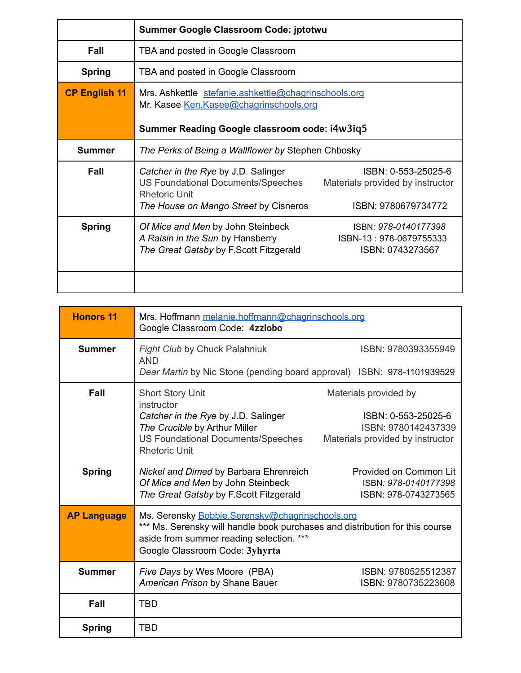|                      | Summer Google Classroom Code: jptotwu                                                                                                           |                                                                                |
|----------------------|-------------------------------------------------------------------------------------------------------------------------------------------------|--------------------------------------------------------------------------------|
| Fall                 | TBA and posted in Google Classroom                                                                                                              |                                                                                |
| <b>Spring</b>        | TBA and posted in Google Classroom                                                                                                              |                                                                                |
| <b>CP English 11</b> | Mrs. Ashkettle stefanie.ashkettle@chagrinschools.org<br>Mr. Kasee Ken.Kasee@chagrinschools.org<br>Summer Reading Google classroom code: i4w3iq5 |                                                                                |
| Summer               | The Perks of Being a Wallflower by Stephen Chbosky                                                                                              |                                                                                |
| Fall                 | Catcher in the Rye by J.D. Salinger<br>US Foundational Documents/Speeches<br><b>Rhetoric Unit</b><br>The House on Mango Street by Cisneros      | ISBN: 0-553-25025-6<br>Materials provided by instructor<br>ISBN: 9780679734772 |
| <b>Spring</b>        | Of Mice and Men by John Steinbeck<br>A Raisin in the Sun by Hansberry<br>The Great Gatsby by F.Scott Fitzgerald                                 | ISBN: 978-0140177398<br>ISBN-13: 978-0679755333<br>ISBN: 0743273567            |

| <b>Honors 11</b>   | Mrs. Hoffmann melanie.hoffmann@chagrinschools.org<br>Google Classroom Code: 4zzlobo                                                                                                                           |                                                                                |
|--------------------|---------------------------------------------------------------------------------------------------------------------------------------------------------------------------------------------------------------|--------------------------------------------------------------------------------|
| <b>Summer</b>      | <b>Fight Club by Chuck Palahniuk</b><br><b>AND</b>                                                                                                                                                            | ISBN: 9780393355949                                                            |
|                    | Dear Martin by Nic Stone (pending board approval) ISBN: 978-1101939529                                                                                                                                        |                                                                                |
| Fall               | <b>Short Story Unit</b><br>instructor                                                                                                                                                                         | Materials provided by                                                          |
|                    | Catcher in the Rye by J.D. Salinger<br>The Crucible by Arthur Miller<br>US Foundational Documents/Speeches<br><b>Rhetoric Unit</b>                                                                            | ISBN: 0-553-25025-6<br>ISBN: 9780142437339<br>Materials provided by instructor |
| <b>Spring</b>      | Nickel and Dimed by Barbara Ehrenreich<br>Of Mice and Men by John Steinbeck<br>The Great Gatsby by F.Scott Fitzgerald                                                                                         | Provided on Common Lit<br>ISBN: 978-0140177398<br>ISBN: 978-0743273565         |
| <b>AP Language</b> | Ms. Serensky Bobbie.Serensky@chagrinschools.org<br>*** Ms. Serensky will handle book purchases and distribution for this course<br>aside from summer reading selection. ***<br>Google Classroom Code: 3yhyrta |                                                                                |
| <b>Summer</b>      | Five Days by Wes Moore (PBA)<br>American Prison by Shane Bauer                                                                                                                                                | ISBN: 9780525512387<br>ISBN: 9780735223608                                     |
| Fall               | TBD                                                                                                                                                                                                           |                                                                                |
| <b>Spring</b>      | TBD                                                                                                                                                                                                           |                                                                                |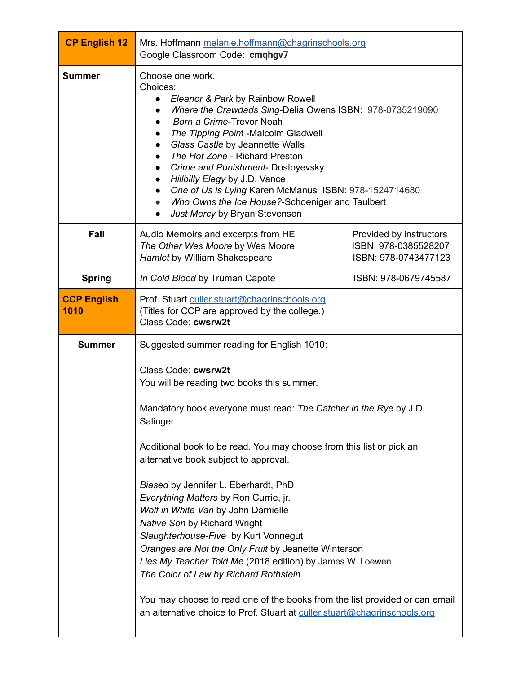| <b>CP English 12</b>       | Mrs. Hoffmann melanie.hoffmann@chagrinschools.org<br>Google Classroom Code: cmqhgv7                                                                                                                                                                                                                                                                                                                                                                                                                               |                                                                         |
|----------------------------|-------------------------------------------------------------------------------------------------------------------------------------------------------------------------------------------------------------------------------------------------------------------------------------------------------------------------------------------------------------------------------------------------------------------------------------------------------------------------------------------------------------------|-------------------------------------------------------------------------|
| <b>Summer</b>              | Choose one work.<br>Choices:<br>Eleanor & Park by Rainbow Rowell<br>$\bullet$<br>Where the Crawdads Sing-Delia Owens ISBN: 978-0735219090<br>Born a Crime-Trevor Noah<br>The Tipping Point -Malcolm Gladwell<br>Glass Castle by Jeannette Walls<br>The Hot Zone - Richard Preston<br>Crime and Punishment- Dostoyevsky<br>Hillbilly Elegy by J.D. Vance<br>One of Us is Lying Karen McManus ISBN: 978-1524714680<br>Who Owns the Ice House?-Schoeniger and Taulbert<br>Just Mercy by Bryan Stevenson<br>$\bullet$ |                                                                         |
| Fall                       | Audio Memoirs and excerpts from HE<br>The Other Wes Moore by Wes Moore<br>Hamlet by William Shakespeare                                                                                                                                                                                                                                                                                                                                                                                                           | Provided by instructors<br>ISBN: 978-0385528207<br>ISBN: 978-0743477123 |
| <b>Spring</b>              | In Cold Blood by Truman Capote                                                                                                                                                                                                                                                                                                                                                                                                                                                                                    | ISBN: 978-0679745587                                                    |
| <b>CCP English</b><br>1010 | Prof. Stuart culler.stuart@chagrinschools.org<br>(Titles for CCP are approved by the college.)<br>Class Code: cwsrw2t                                                                                                                                                                                                                                                                                                                                                                                             |                                                                         |
| <b>Summer</b>              | Suggested summer reading for English 1010:                                                                                                                                                                                                                                                                                                                                                                                                                                                                        |                                                                         |
|                            | Class Code: cwsrw2t<br>You will be reading two books this summer.<br>Mandatory book everyone must read: The Catcher in the Rye by J.D.<br>Salinger                                                                                                                                                                                                                                                                                                                                                                |                                                                         |
|                            | Additional book to be read. You may choose from this list or pick an<br>alternative book subject to approval.                                                                                                                                                                                                                                                                                                                                                                                                     |                                                                         |
|                            | Biased by Jennifer L. Eberhardt, PhD<br>Everything Matters by Ron Currie, jr.<br>Wolf in White Van by John Darnielle<br>Native Son by Richard Wright<br>Slaughterhouse-Five by Kurt Vonnegut<br>Oranges are Not the Only Fruit by Jeanette Winterson<br>Lies My Teacher Told Me (2018 edition) by James W. Loewen<br>The Color of Law by Richard Rothstein<br>You may choose to read one of the books from the list provided or can email                                                                         |                                                                         |
|                            | an alternative choice to Prof. Stuart at culler.stuart@chagrinschools.org                                                                                                                                                                                                                                                                                                                                                                                                                                         |                                                                         |